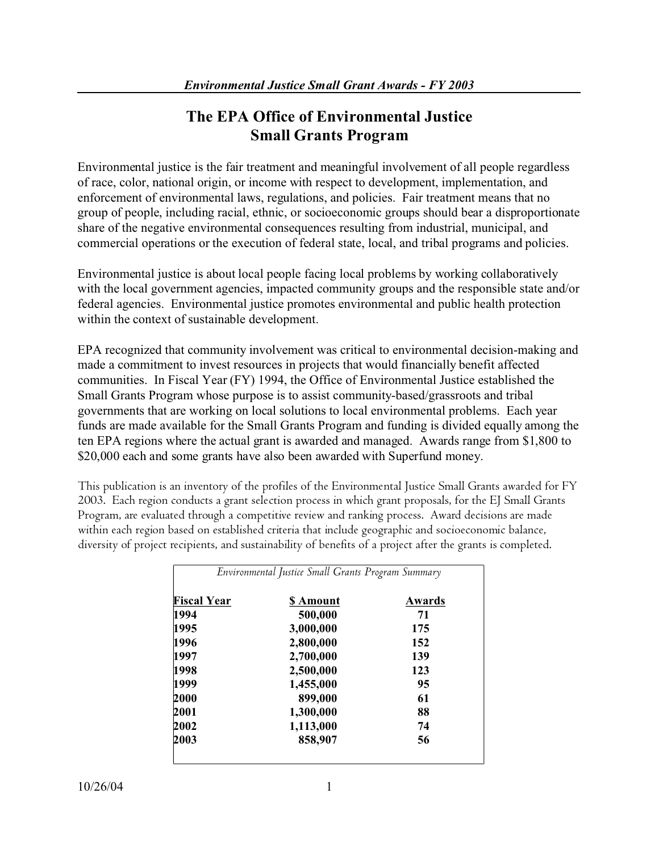# **The EPA Office of Environmental Justice Small Grants Program**

Environmental justice is the fair treatment and meaningful involvement of all people regardless of race, color, national origin, or income with respect to development, implementation, and enforcement of environmental laws, regulations, and policies. Fair treatment means that no group of people, including racial, ethnic, or socioeconomic groups should bear a disproportionate share of the negative environmental consequences resulting from industrial, municipal, and commercial operations or the execution of federal state, local, and tribal programs and policies.

Environmental justice is about local people facing local problems by working collaboratively with the local government agencies, impacted community groups and the responsible state and/or federal agencies. Environmental justice promotes environmental and public health protection within the context of sustainable development.

EPA recognized that community involvement was critical to environmental decision-making and made a commitment to invest resources in projects that would financially benefit affected communities. In Fiscal Year (FY) 1994, the Office of Environmental Justice established the Small Grants Program whose purpose is to assist community-based/grassroots and tribal governments that are working on local solutions to local environmental problems. Each year funds are made available for the Small Grants Program and funding is divided equally among the ten EPA regions where the actual grant is awarded and managed. Awards range from \$1,800 to \$20,000 each and some grants have also been awarded with Superfund money.

This publication is an inventory of the profiles of the Environmental Justice Small Grants awarded for FY 2003. Each region conducts a grant selection process in which grant proposals, for the EJ Small Grants Program, are evaluated through a competitive review and ranking process. Award decisions are made within each region based on established criteria that include geographic and socioeconomic balance, diversity of project recipients, and sustainability of benefits of a project after the grants is completed.

| <b>Fiscal Year</b> | <b>S</b> Amount | Awards |
|--------------------|-----------------|--------|
| 1994               | 500,000         | 71     |
| 1995               | 3,000,000       | 175    |
| 1996               | 2,800,000       | 152    |
| 1997               | 2,700,000       | 139    |
| 1998               | 2,500,000       | 123    |
| 1999               | 1,455,000       | 95     |
| 2000               | 899,000         | 61     |
| 2001               | 1,300,000       | 88     |
| 2002               | 1,113,000       | 74     |
| 2003               | 858,907         | 56     |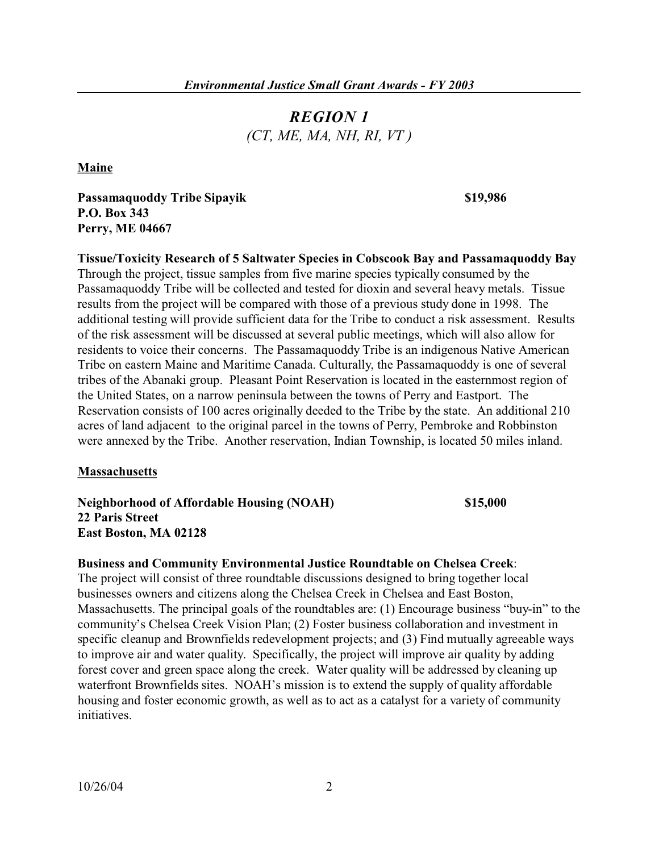# *REGION 1 (CT, ME, MA, NH, RI, VT )*

**Maine** 

**Passamaquoddy Tribe Sipayik**  $$19,986$ **P.O. Box 343 Perry, ME 04667** 

**Tissue/Toxicity Research of 5 Saltwater Species in Cobscook Bay and Passamaquoddy Bay**  Through the project, tissue samples from five marine species typically consumed by the Passamaquoddy Tribe will be collected and tested for dioxin and several heavy metals. Tissue results from the project will be compared with those of a previous study done in 1998. The additional testing will provide sufficient data for the Tribe to conduct a risk assessment. Results of the risk assessment will be discussed at several public meetings, which will also allow for residents to voice their concerns. The Passamaquoddy Tribe is an indigenous Native American Tribe on eastern Maine and Maritime Canada. Culturally, the Passamaquoddy is one of several tribes of the Abanaki group. Pleasant Point Reservation is located in the easternmost region of the United States, on a narrow peninsula between the towns of Perry and Eastport. The Reservation consists of 100 acres originally deeded to the Tribe by the state. An additional 210 acres of land adjacent to the original parcel in the towns of Perry, Pembroke and Robbinston were annexed by the Tribe. Another reservation, Indian Township, is located 50 miles inland.

### **Massachusetts**

**Neighborhood of Affordable Housing (NOAH) \$15,000 22 Paris Street East Boston, MA 02128** 

### **Business and Community Environmental Justice Roundtable on Chelsea Creek**:

The project will consist of three roundtable discussions designed to bring together local businesses owners and citizens along the Chelsea Creek in Chelsea and East Boston, Massachusetts. The principal goals of the roundtables are: (1) Encourage business "buy-in" to the community's Chelsea Creek Vision Plan; (2) Foster business collaboration and investment in specific cleanup and Brownfields redevelopment projects; and (3) Find mutually agreeable ways to improve air and water quality. Specifically, the project will improve air quality by adding forest cover and green space along the creek. Water quality will be addressed by cleaning up waterfront Brownfields sites. NOAH's mission is to extend the supply of quality affordable housing and foster economic growth, as well as to act as a catalyst for a variety of community initiatives.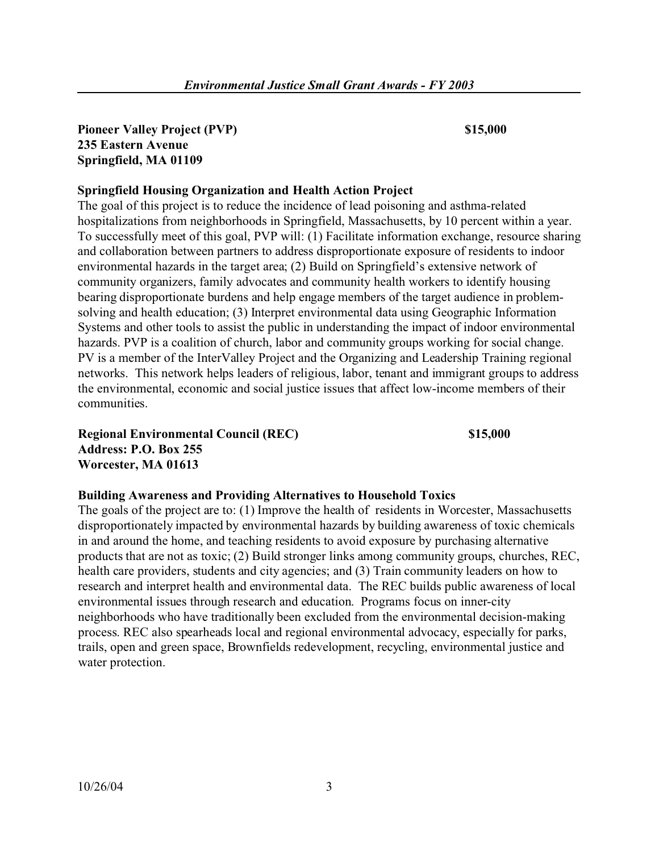# **Pioneer Valley Project (PVP)** \$15,000 **235 Eastern Avenue Springfield, MA 01109**

# **Springfield Housing Organization and Health Action Project**

The goal of this project is to reduce the incidence of lead poisoning and asthma-related hospitalizations from neighborhoods in Springfield, Massachusetts, by 10 percent within a year. To successfully meet of this goal, PVP will: (1) Facilitate information exchange, resource sharing and collaboration between partners to address disproportionate exposure of residents to indoor environmental hazards in the target area; (2) Build on Springfield's extensive network of community organizers, family advocates and community health workers to identify housing bearing disproportionate burdens and help engage members of the target audience in problemsolving and health education; (3) Interpret environmental data using Geographic Information Systems and other tools to assist the public in understanding the impact of indoor environmental hazards. PVP is a coalition of church, labor and community groups working for social change. PV is a member of the InterValley Project and the Organizing and Leadership Training regional networks. This network helps leaders of religious, labor, tenant and immigrant groups to address the environmental, economic and social justice issues that affect low-income members of their communities.

**Regional Environmental Council (REC) \$15,000 Address: P.O. Box 255 Worcester, MA 01613** 

### **Building Awareness and Providing Alternatives to Household Toxics**

The goals of the project are to: (1) Improve the health of residents in Worcester, Massachusetts disproportionately impacted by environmental hazards by building awareness of toxic chemicals in and around the home, and teaching residents to avoid exposure by purchasing alternative products that are not as toxic; (2) Build stronger links among community groups, churches, REC, health care providers, students and city agencies; and (3) Train community leaders on how to research and interpret health and environmental data. The REC builds public awareness of local environmental issues through research and education. Programs focus on inner-city neighborhoods who have traditionally been excluded from the environmental decision-making process. REC also spearheads local and regional environmental advocacy, especially for parks, trails, open and green space, Brownfields redevelopment, recycling, environmental justice and water protection.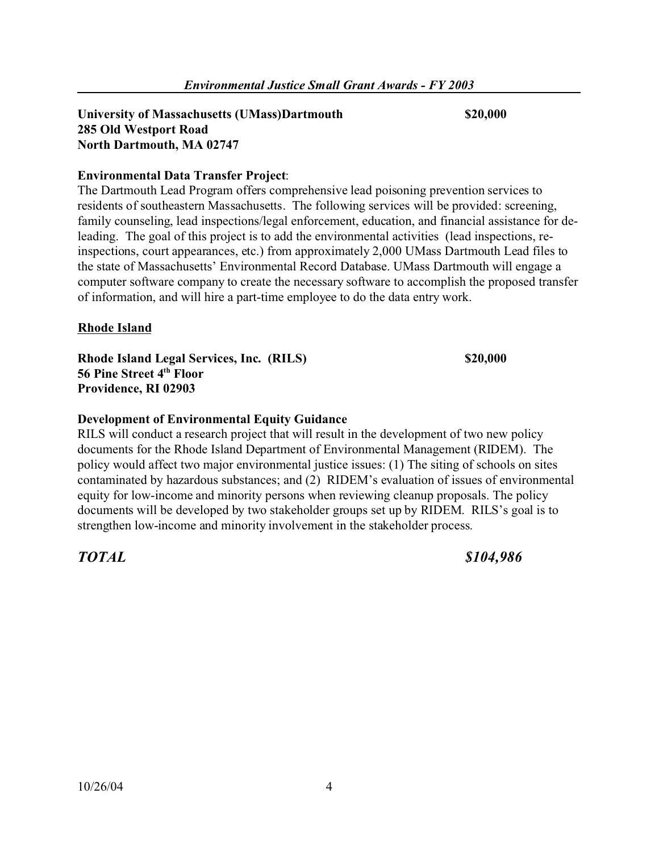#### **University of Massachusetts (UMass)Dartmouth \$20,000 285 Old Westport Road North Dartmouth, MA 02747**

# **Environmental Data Transfer Project**:

The Dartmouth Lead Program offers comprehensive lead poisoning prevention services to residents of southeastern Massachusetts. The following services will be provided: screening, family counseling, lead inspections/legal enforcement, education, and financial assistance for deleading. The goal of this project is to add the environmental activities (lead inspections, reinspections, court appearances, etc.) from approximately 2,000 UMass Dartmouth Lead files to the state of Massachusetts' Environmental Record Database. UMass Dartmouth will engage a computer software company to create the necessary software to accomplish the proposed transfer of information, and will hire a part-time employee to do the data entry work.

# **Rhode Island**

**Rhode Island Legal Services, Inc. (RILS) \$20,000 56 Pine Street 4th Floor Providence, RI 02903** 

# **Development of Environmental Equity Guidance**

RILS will conduct a research project that will result in the development of two new policy documents for the Rhode Island Department of Environmental Management (RIDEM). The policy would affect two major environmental justice issues: (1) The siting of schools on sites contaminated by hazardous substances; and (2) RIDEM's evaluation of issues of environmental equity for low-income and minority persons when reviewing cleanup proposals. The policy documents will be developed by two stakeholder groups set up by RIDEM. RILS's goal is to strengthen low-income and minority involvement in the stakeholder process.

*TOTAL \$104,986*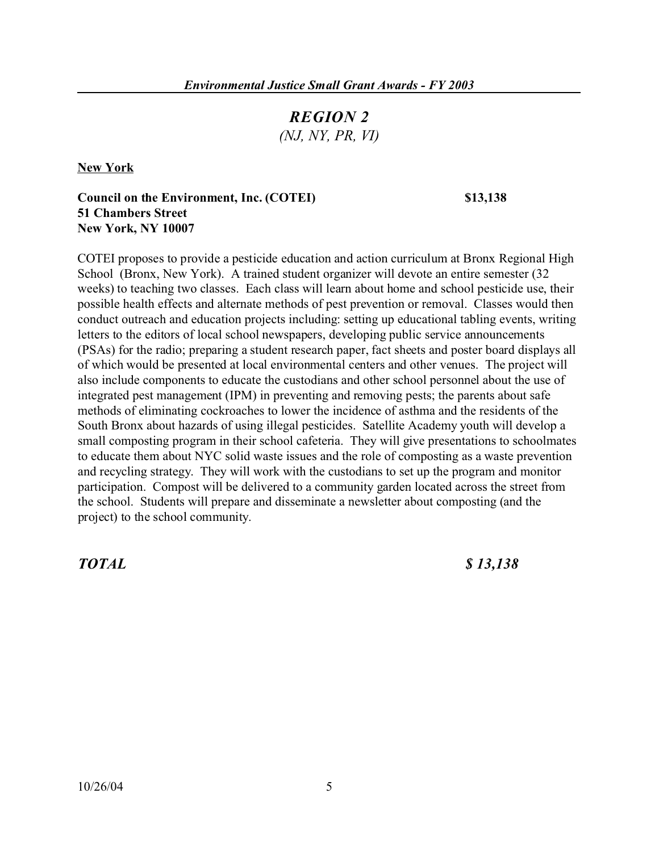# *REGION 2 (NJ, NY, PR, VI)*

**New York** 

# **Council on the Environment, Inc. (COTEI) \$13,138 51 Chambers Street New York, NY 10007**

COTEI proposes to provide a pesticide education and action curriculum at Bronx Regional High School (Bronx, New York). A trained student organizer will devote an entire semester (32 weeks) to teaching two classes. Each class will learn about home and school pesticide use, their possible health effects and alternate methods of pest prevention or removal. Classes would then conduct outreach and education projects including: setting up educational tabling events, writing letters to the editors of local school newspapers, developing public service announcements (PSAs) for the radio; preparing a student research paper, fact sheets and poster board displays all of which would be presented at local environmental centers and other venues. The project will also include components to educate the custodians and other school personnel about the use of integrated pest management (IPM) in preventing and removing pests; the parents about safe methods of eliminating cockroaches to lower the incidence of asthma and the residents of the South Bronx about hazards of using illegal pesticides. Satellite Academy youth will develop a small composting program in their school cafeteria. They will give presentations to schoolmates to educate them about NYC solid waste issues and the role of composting as a waste prevention and recycling strategy. They will work with the custodians to set up the program and monitor participation. Compost will be delivered to a community garden located across the street from the school. Students will prepare and disseminate a newsletter about composting (and the

project) to the school community.

*TOTAL \$ 13,138*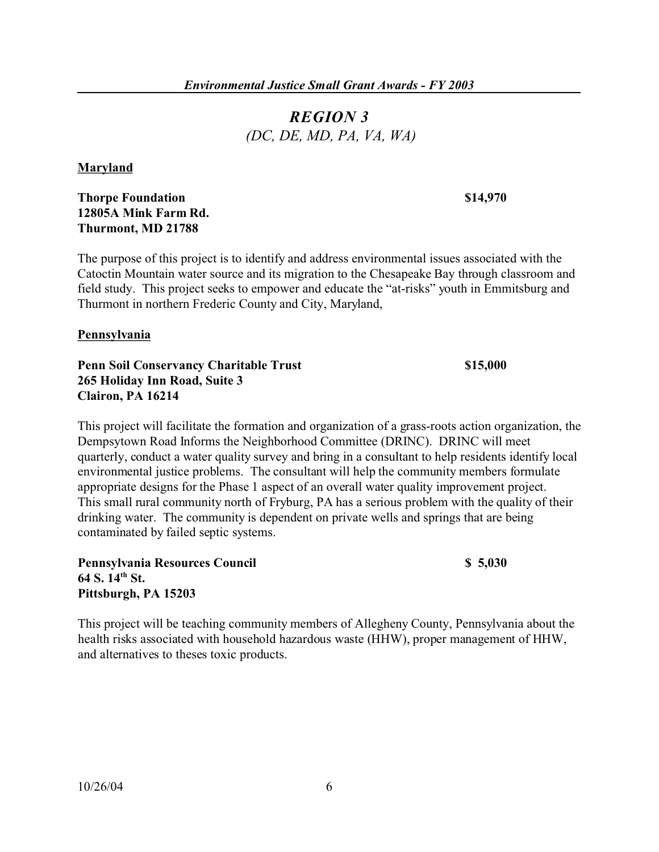# *REGION 3 (DC, DE, MD, PA, VA, WA)*

### **Maryland**

# **Thorpe Foundation \$14,970 12805A Mink Farm Rd. Thurmont, MD 21788**

The purpose of this project is to identify and address environmental issues associated with the Catoctin Mountain water source and its migration to the Chesapeake Bay through classroom and field study. This project seeks to empower and educate the "at-risks" youth in Emmitsburg and Thurmont in northern Frederic County and City, Maryland,

### **Pennsylvania**

**Penn Soil Conservancy Charitable Trust**  $\frac{15,000}{1000}$ **265 Holiday Inn Road, Suite 3 Clairon, PA 16214** 

This project will facilitate the formation and organization of a grass-roots action organization, the Dempsytown Road Informs the Neighborhood Committee (DRINC). DRINC will meet quarterly, conduct a water quality survey and bring in a consultant to help residents identify local environmental justice problems. The consultant will help the community members formulate appropriate designs for the Phase 1 aspect of an overall water quality improvement project. This small rural community north of Fryburg, PA has a serious problem with the quality of their drinking water. The community is dependent on private wells and springs that are being contaminated by failed septic systems.

**Pennsylvania Resources Council \$ 5,030 64 S. 14th St. Pittsburgh, PA 15203** 

This project will be teaching community members of Allegheny County, Pennsylvania about the health risks associated with household hazardous waste (HHW), proper management of HHW, and alternatives to theses toxic products.

 $$5,030$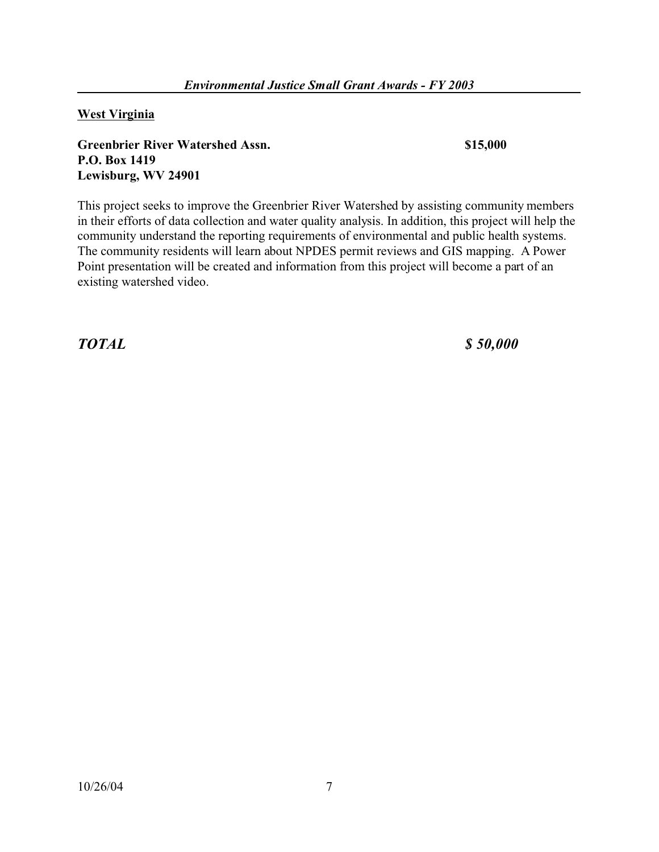**West Virginia** 

**Greenbrier River Watershed Assn. \$15,000 P.O. Box 1419 Lewisburg, WV 24901** 

This project seeks to improve the Greenbrier River Watershed by assisting community members in their efforts of data collection and water quality analysis. In addition, this project will help the community understand the reporting requirements of environmental and public health systems. The community residents will learn about NPDES permit reviews and GIS mapping. A Power Point presentation will be created and information from this project will become a part of an existing watershed video.

*TOTAL \$ 50,000*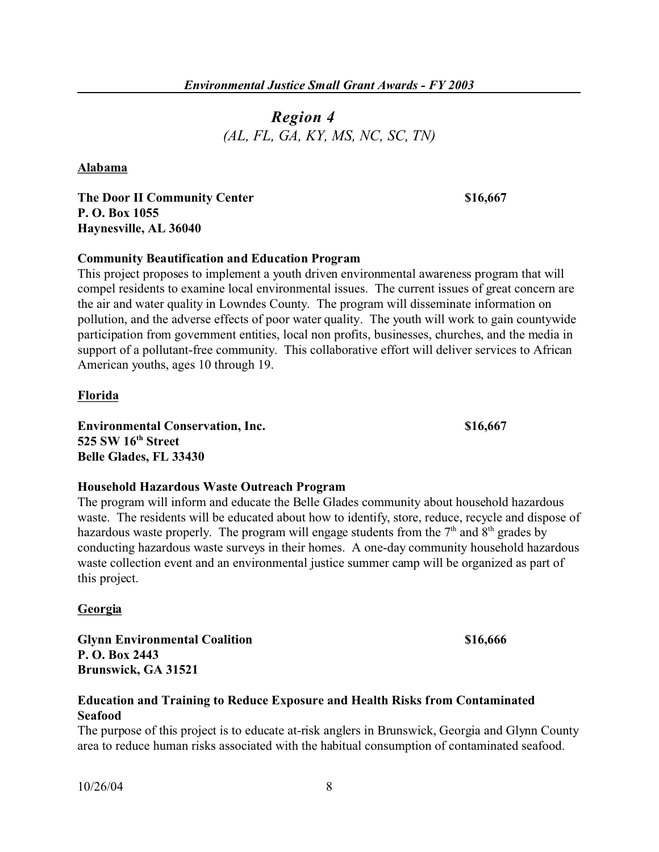# *Region 4 (AL, FL, GA, KY, MS, NC, SC, TN)*

**Alabama** 

**The Door II Community Center 616,667 \$16,667 P. O. Box 1055 Haynesville, AL 36040** 

# **Community Beautification and Education Program**

This project proposes to implement a youth driven environmental awareness program that will compel residents to examine local environmental issues. The current issues of great concern are the air and water quality in Lowndes County. The program will disseminate information on pollution, and the adverse effects of poor water quality. The youth will work to gain countywide participation from government entities, local non profits, businesses, churches, and the media in support of a pollutant-free community. This collaborative effort will deliver services to African American youths, ages 10 through 19.

# **Florida**

**Environmental Conservation, Inc. \$16,667 525 SW 16th Street Belle Glades, FL 33430** 

### **Household Hazardous Waste Outreach Program**

The program will inform and educate the Belle Glades community about household hazardous waste. The residents will be educated about how to identify, store, reduce, recycle and dispose of hazardous waste properly. The program will engage students from the  $7<sup>th</sup>$  and  $8<sup>th</sup>$  grades by conducting hazardous waste surveys in their homes. A one-day community household hazardous waste collection event and an environmental justice summer camp will be organized as part of this project.

# **Georgia**

**Glynn Environmental Coalition \$16,666 P. O. Box 2443 Brunswick, GA 31521** 

# **Education and Training to Reduce Exposure and Health Risks from Contaminated Seafood**

The purpose of this project is to educate at-risk anglers in Brunswick, Georgia and Glynn County area to reduce human risks associated with the habitual consumption of contaminated seafood.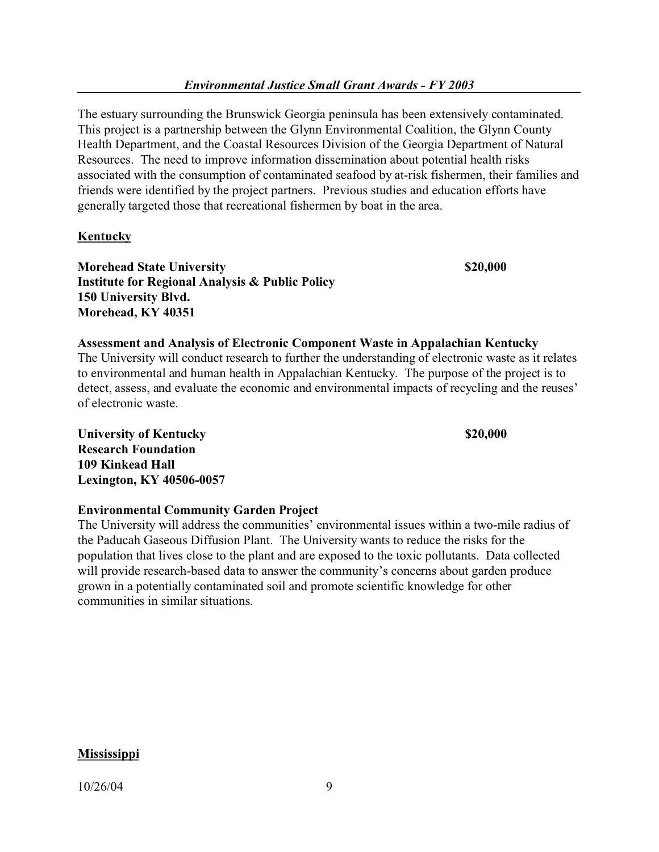The estuary surrounding the Brunswick Georgia peninsula has been extensively contaminated. This project is a partnership between the Glynn Environmental Coalition, the Glynn County Health Department, and the Coastal Resources Division of the Georgia Department of Natural Resources. The need to improve information dissemination about potential health risks associated with the consumption of contaminated seafood by at-risk fishermen, their families and friends were identified by the project partners. Previous studies and education efforts have generally targeted those that recreational fishermen by boat in the area.

# **Kentucky**

**Morehead State University \$20,000**  \$20,000 **Institute for Regional Analysis & Public Policy 150 University Blvd. Morehead, KY 40351** 

### **Assessment and Analysis of Electronic Component Waste in Appalachian Kentucky**  The University will conduct research to further the understanding of electronic waste as it relates to environmental and human health in Appalachian Kentucky. The purpose of the project is to detect, assess, and evaluate the economic and environmental impacts of recycling and the reuses' of electronic waste.

**University of Kentucky 820,000 820,000 Research Foundation 109 Kinkead Hall Lexington, KY 40506-0057** 

# **Environmental Community Garden Project**

The University will address the communities' environmental issues within a two-mile radius of the Paducah Gaseous Diffusion Plant. The University wants to reduce the risks for the population that lives close to the plant and are exposed to the toxic pollutants. Data collected will provide research-based data to answer the community's concerns about garden produce grown in a potentially contaminated soil and promote scientific knowledge for other communities in similar situations.

### **Mississippi**

10/26/04 9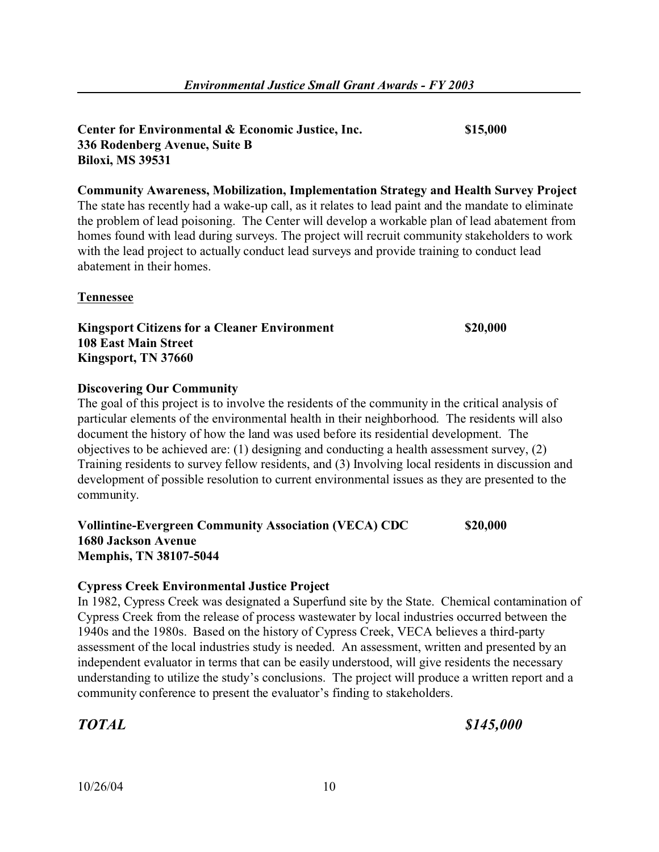# **Center for Environmental & Economic Justice, Inc. \$15,000 336 Rodenberg Avenue, Suite B Biloxi, MS 39531**

**Community Awareness, Mobilization, Implementation Strategy and Health Survey Project**  The state has recently had a wake-up call, as it relates to lead paint and the mandate to eliminate the problem of lead poisoning. The Center will develop a workable plan of lead abatement from homes found with lead during surveys. The project will recruit community stakeholders to work with the lead project to actually conduct lead surveys and provide training to conduct lead abatement in their homes.

# **Tennessee**

**Kingsport Citizens for a Cleaner Environment \$20,000 108 East Main Street Kingsport, TN 37660** 

# **Discovering Our Community**

The goal of this project is to involve the residents of the community in the critical analysis of particular elements of the environmental health in their neighborhood. The residents will also document the history of how the land was used before its residential development. The objectives to be achieved are: (1) designing and conducting a health assessment survey, (2) Training residents to survey fellow residents, and (3) Involving local residents in discussion and development of possible resolution to current environmental issues as they are presented to the community.

# **Vollintine-Evergreen Community Association (VECA) CDC \$20,000 1680 Jackson Avenue Memphis, TN 38107-5044**

# **Cypress Creek Environmental Justice Project**

In 1982, Cypress Creek was designated a Superfund site by the State. Chemical contamination of Cypress Creek from the release of process wastewater by local industries occurred between the 1940s and the 1980s. Based on the history of Cypress Creek, VECA believes a third-party assessment of the local industries study is needed. An assessment, written and presented by an independent evaluator in terms that can be easily understood, will give residents the necessary understanding to utilize the study's conclusions. The project will produce a written report and a community conference to present the evaluator's finding to stakeholders.

*TOTAL \$145,000*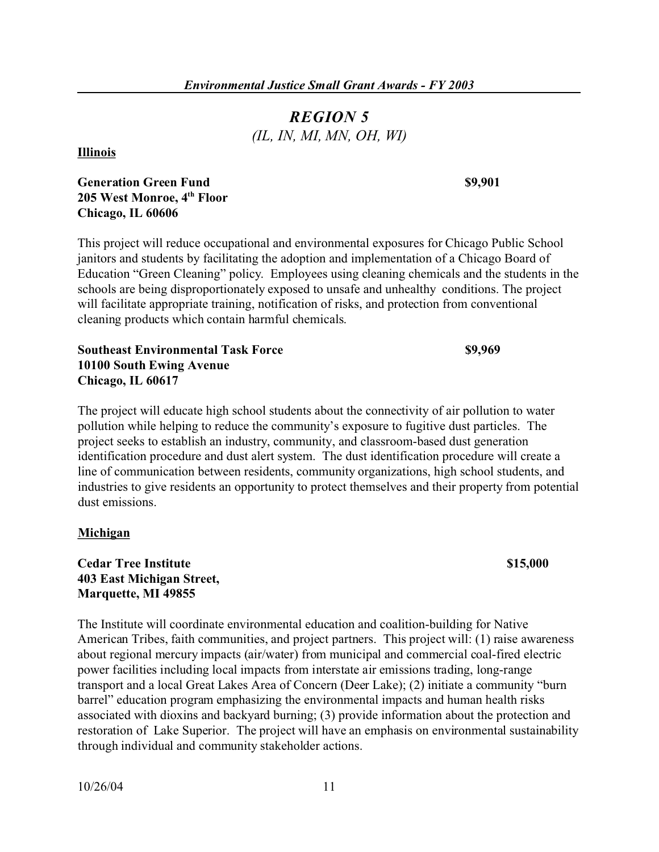# *REGION 5 (IL, IN, MI, MN, OH, WI)*

**Illinois** 

**Generation Green Fund \$9,901 69,901 205 West Monroe, 4th Floor Chicago, IL 60606** 

This project will reduce occupational and environmental exposures for Chicago Public School janitors and students by facilitating the adoption and implementation of a Chicago Board of Education "Green Cleaning" policy. Employees using cleaning chemicals and the students in the schools are being disproportionately exposed to unsafe and unhealthy conditions. The project will facilitate appropriate training, notification of risks, and protection from conventional cleaning products which contain harmful chemicals.

**Southeast Environmental Task Force \$9,969 10100 South Ewing Avenue Chicago, IL 60617** 

The project will educate high school students about the connectivity of air pollution to water pollution while helping to reduce the community's exposure to fugitive dust particles. The project seeks to establish an industry, community, and classroom-based dust generation identification procedure and dust alert system. The dust identification procedure will create a line of communication between residents, community organizations, high school students, and industries to give residents an opportunity to protect themselves and their property from potential dust emissions.

### **Michigan**

**Cedar Tree Institute \$15,000 403 East Michigan Street, Marquette, MI 49855** 

The Institute will coordinate environmental education and coalition-building for Native American Tribes, faith communities, and project partners. This project will: (1) raise awareness about regional mercury impacts (air/water) from municipal and commercial coal-fired electric power facilities including local impacts from interstate air emissions trading, long-range transport and a local Great Lakes Area of Concern (Deer Lake); (2) initiate a community "burn barrel" education program emphasizing the environmental impacts and human health risks associated with dioxins and backyard burning; (3) provide information about the protection and restoration of Lake Superior. The project will have an emphasis on environmental sustainability through individual and community stakeholder actions.

\$15,000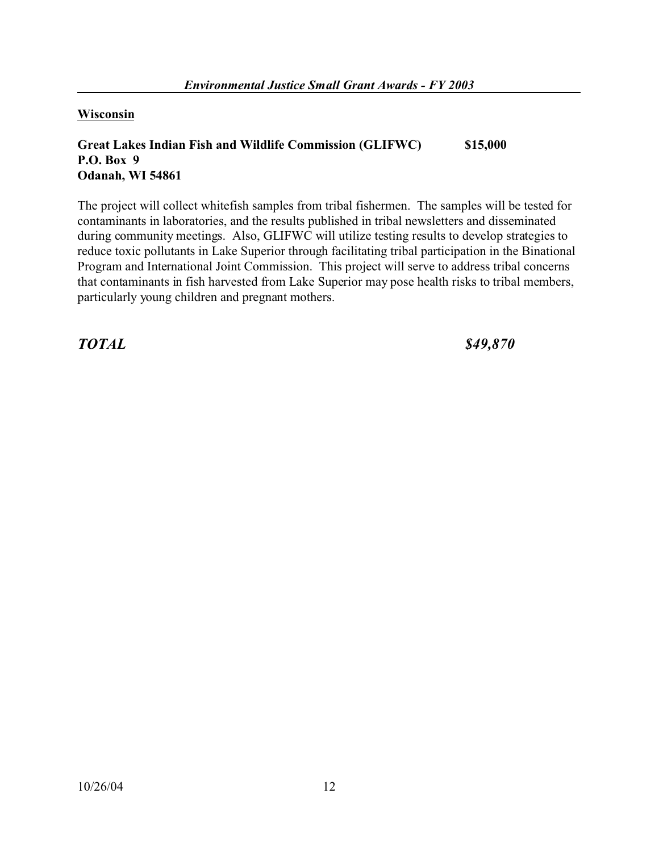**Wisconsin** 

# **Great Lakes Indian Fish and Wildlife Commission (GLIFWC) \$15,000 P.O. Box 9 Odanah, WI 54861**

The project will collect whitefish samples from tribal fishermen. The samples will be tested for contaminants in laboratories, and the results published in tribal newsletters and disseminated during community meetings. Also, GLIFWC will utilize testing results to develop strategies to reduce toxic pollutants in Lake Superior through facilitating tribal participation in the Binational Program and International Joint Commission. This project will serve to address tribal concerns that contaminants in fish harvested from Lake Superior may pose health risks to tribal members, particularly young children and pregnant mothers.

*TOTAL \$49,870*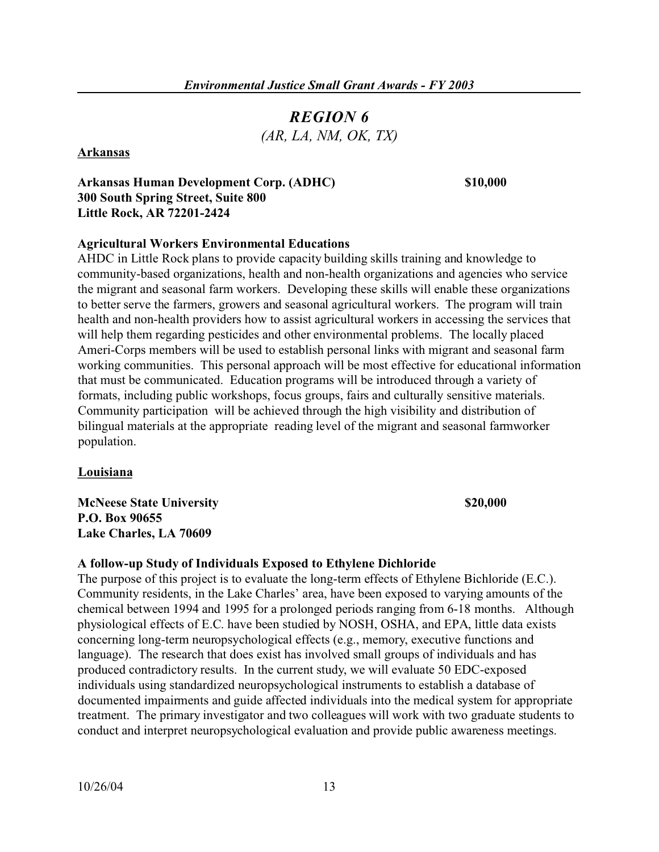# *REGION 6 (AR, LA, NM, OK, TX)*

### **Arkansas**

#### **Arkansas Human Development Corp. (ADHC) \$10,000 300 South Spring Street, Suite 800 Little Rock, AR 72201-2424**

### **Agricultural Workers Environmental Educations**

AHDC in Little Rock plans to provide capacity building skills training and knowledge to community-based organizations, health and non-health organizations and agencies who service the migrant and seasonal farm workers. Developing these skills will enable these organizations to better serve the farmers, growers and seasonal agricultural workers. The program will train health and non-health providers how to assist agricultural workers in accessing the services that will help them regarding pesticides and other environmental problems. The locally placed Ameri-Corps members will be used to establish personal links with migrant and seasonal farm working communities. This personal approach will be most effective for educational information that must be communicated. Education programs will be introduced through a variety of formats, including public workshops, focus groups, fairs and culturally sensitive materials. Community participation will be achieved through the high visibility and distribution of bilingual materials at the appropriate reading level of the migrant and seasonal farmworker population.

#### **Louisiana**

**McNeese State University \$20,000**  \$20,000 **P.O. Box 90655 Lake Charles, LA 70609** 

### **A follow-up Study of Individuals Exposed to Ethylene Dichloride**

The purpose of this project is to evaluate the long-term effects of Ethylene Bichloride (E.C.). Community residents, in the Lake Charles' area, have been exposed to varying amounts of the chemical between 1994 and 1995 for a prolonged periods ranging from 6-18 months. Although physiological effects of E.C. have been studied by NOSH, OSHA, and EPA, little data exists concerning long-term neuropsychological effects (e.g., memory, executive functions and language). The research that does exist has involved small groups of individuals and has produced contradictory results. In the current study, we will evaluate 50 EDC-exposed individuals using standardized neuropsychological instruments to establish a database of documented impairments and guide affected individuals into the medical system for appropriate treatment. The primary investigator and two colleagues will work with two graduate students to conduct and interpret neuropsychological evaluation and provide public awareness meetings.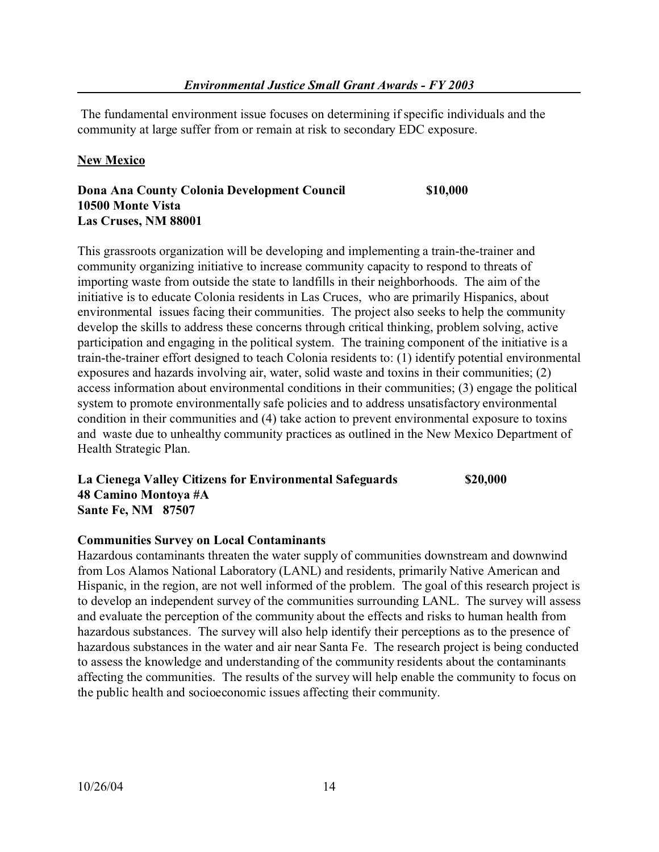The fundamental environment issue focuses on determining if specific individuals and the community at large suffer from or remain at risk to secondary EDC exposure.

# **New Mexico**

**Dona Ana County Colonia Development Council \$10,000 10500 Monte Vista Las Cruses, NM 88001** 

This grassroots organization will be developing and implementing a train-the-trainer and community organizing initiative to increase community capacity to respond to threats of importing waste from outside the state to landfills in their neighborhoods. The aim of the initiative is to educate Colonia residents in Las Cruces, who are primarily Hispanics, about environmental issues facing their communities. The project also seeks to help the community develop the skills to address these concerns through critical thinking, problem solving, active participation and engaging in the political system. The training component of the initiative is a train-the-trainer effort designed to teach Colonia residents to: (1) identify potential environmental exposures and hazards involving air, water, solid waste and toxins in their communities; (2) access information about environmental conditions in their communities; (3) engage the political system to promote environmentally safe policies and to address unsatisfactory environmental condition in their communities and (4) take action to prevent environmental exposure to toxins and waste due to unhealthy community practices as outlined in the New Mexico Department of Health Strategic Plan.

### **La Cienega Valley Citizens for Environmental Safeguards \$20,000 48 Camino Montoya #A Sante Fe, NM 87507**

# **Communities Survey on Local Contaminants**

Hazardous contaminants threaten the water supply of communities downstream and downwind from Los Alamos National Laboratory (LANL) and residents, primarily Native American and Hispanic, in the region, are not well informed of the problem. The goal of this research project is to develop an independent survey of the communities surrounding LANL. The survey will assess and evaluate the perception of the community about the effects and risks to human health from hazardous substances. The survey will also help identify their perceptions as to the presence of hazardous substances in the water and air near Santa Fe. The research project is being conducted to assess the knowledge and understanding of the community residents about the contaminants affecting the communities. The results of the survey will help enable the community to focus on the public health and socioeconomic issues affecting their community.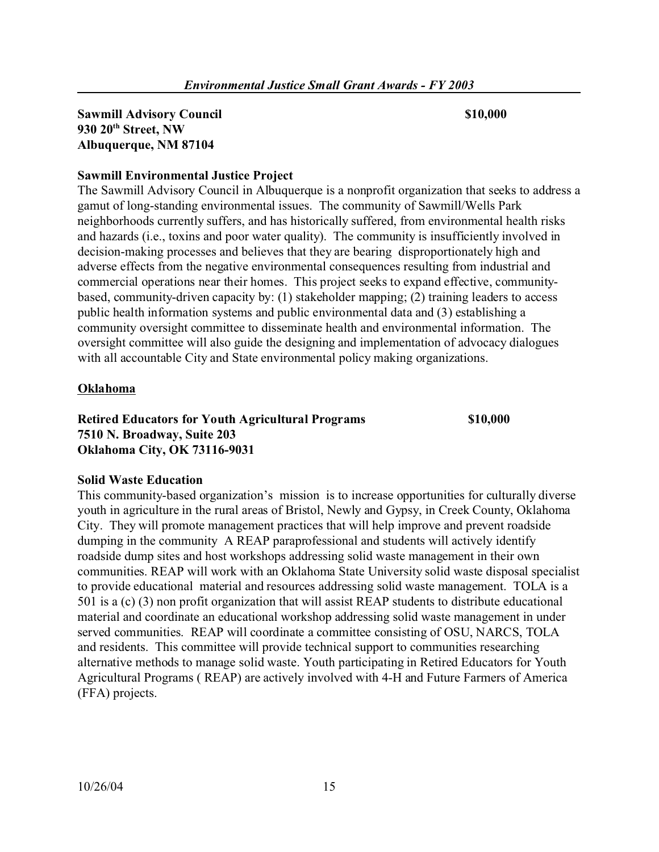# **Sawmill Advisory Council \$10,000**  \$10,000 **930 20th Street, NW Albuquerque, NM 87104**

# **Sawmill Environmental Justice Project**

The Sawmill Advisory Council in Albuquerque is a nonprofit organization that seeks to address a gamut of long-standing environmental issues. The community of Sawmill/Wells Park neighborhoods currently suffers, and has historically suffered, from environmental health risks and hazards (i.e., toxins and poor water quality). The community is insufficiently involved in decision-making processes and believes that they are bearing disproportionately high and adverse effects from the negative environmental consequences resulting from industrial and commercial operations near their homes. This project seeks to expand effective, communitybased, community-driven capacity by: (1) stakeholder mapping; (2) training leaders to access public health information systems and public environmental data and (3) establishing a community oversight committee to disseminate health and environmental information. The oversight committee will also guide the designing and implementation of advocacy dialogues with all accountable City and State environmental policy making organizations.

### **Oklahoma**

# **Retired Educators for Youth Agricultural Programs \$10,000 7510 N. Broadway, Suite 203 Oklahoma City, OK 73116-9031**

### **Solid Waste Education**

This community-based organization's mission is to increase opportunities for culturally diverse youth in agriculture in the rural areas of Bristol, Newly and Gypsy, in Creek County, Oklahoma City. They will promote management practices that will help improve and prevent roadside dumping in the community A REAP paraprofessional and students will actively identify roadside dump sites and host workshops addressing solid waste management in their own communities. REAP will work with an Oklahoma State University solid waste disposal specialist to provide educational material and resources addressing solid waste management. TOLA is a 501 is a (c) (3) non profit organization that will assist REAP students to distribute educational material and coordinate an educational workshop addressing solid waste management in under served communities. REAP will coordinate a committee consisting of OSU, NARCS, TOLA and residents. This committee will provide technical support to communities researching alternative methods to manage solid waste. Youth participating in Retired Educators for Youth Agricultural Programs ( REAP) are actively involved with 4-H and Future Farmers of America (FFA) projects.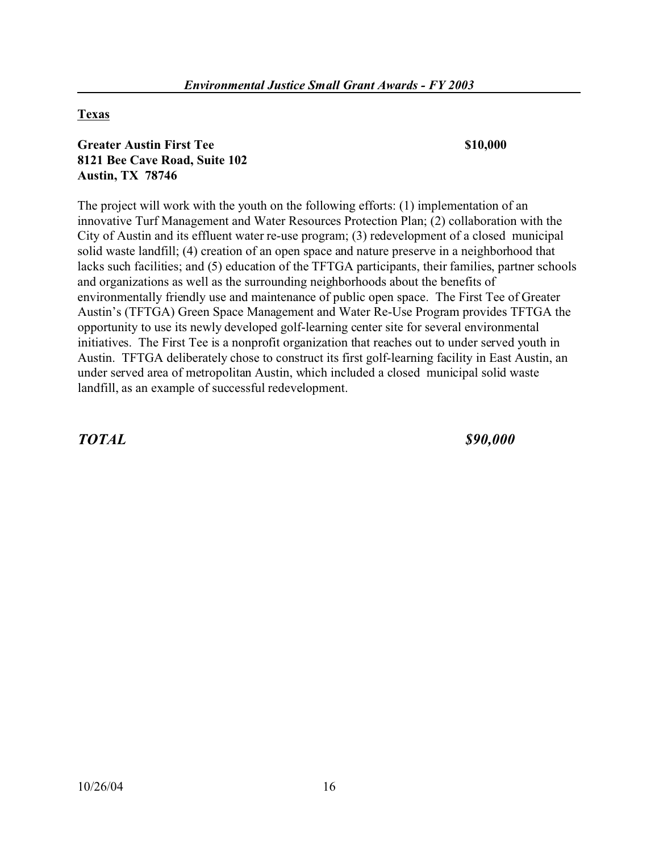# **Texas**

# **Greater Austin First Tee \$10,000 \$10,000 8121 Bee Cave Road, Suite 102 Austin, TX 78746**

The project will work with the youth on the following efforts: (1) implementation of an innovative Turf Management and Water Resources Protection Plan; (2) collaboration with the City of Austin and its effluent water re-use program; (3) redevelopment of a closed municipal solid waste landfill; (4) creation of an open space and nature preserve in a neighborhood that lacks such facilities; and (5) education of the TFTGA participants, their families, partner schools and organizations as well as the surrounding neighborhoods about the benefits of environmentally friendly use and maintenance of public open space. The First Tee of Greater Austin's (TFTGA) Green Space Management and Water Re-Use Program provides TFTGA the opportunity to use its newly developed golf-learning center site for several environmental initiatives. The First Tee is a nonprofit organization that reaches out to under served youth in Austin. TFTGA deliberately chose to construct its first golf-learning facility in East Austin, an under served area of metropolitan Austin, which included a closed municipal solid waste landfill, as an example of successful redevelopment.

*TOTAL \$90,000*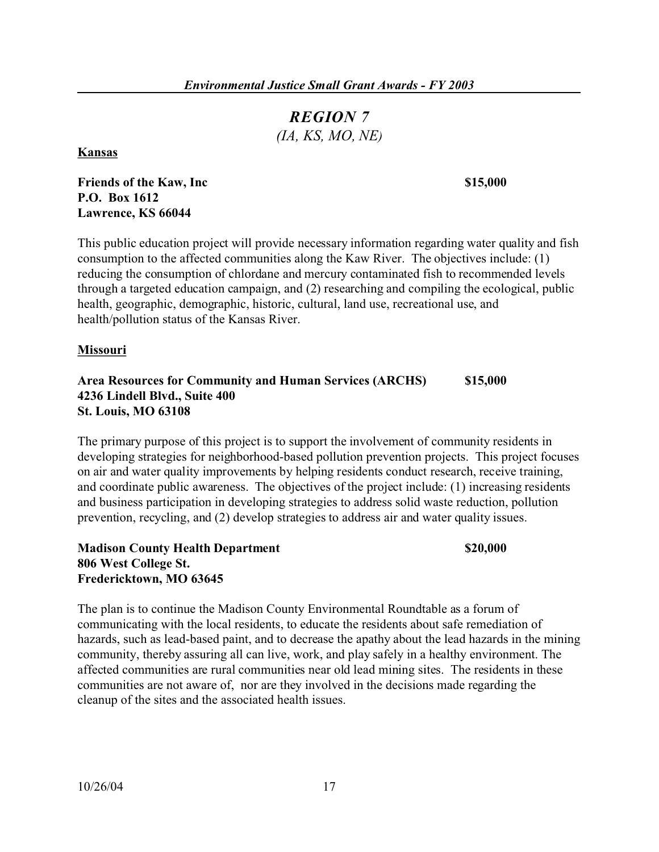# *REGION 7 (IA, KS, MO, NE)*

**Kansas** 

### **Friends of the Kaw, Inc 515,000 <b>S15,000 P.O. Box 1612 Lawrence, KS 66044**

This public education project will provide necessary information regarding water quality and fish consumption to the affected communities along the Kaw River. The objectives include: (1) reducing the consumption of chlordane and mercury contaminated fish to recommended levels through a targeted education campaign, and (2) researching and compiling the ecological, public health, geographic, demographic, historic, cultural, land use, recreational use, and health/pollution status of the Kansas River.

### **Missouri**

#### **Area Resources for Community and Human Services (ARCHS) \$15,000 4236 Lindell Blvd., Suite 400 St. Louis, MO 63108**

The primary purpose of this project is to support the involvement of community residents in developing strategies for neighborhood-based pollution prevention projects. This project focuses on air and water quality improvements by helping residents conduct research, receive training, and coordinate public awareness. The objectives of the project include: (1) increasing residents and business participation in developing strategies to address solid waste reduction, pollution prevention, recycling, and (2) develop strategies to address air and water quality issues.

# **Madison County Health Department 806 West College St. Fredericktown, MO 63645**

#### \$20,000

The plan is to continue the Madison County Environmental Roundtable as a forum of communicating with the local residents, to educate the residents about safe remediation of hazards, such as lead-based paint, and to decrease the apathy about the lead hazards in the mining community, thereby assuring all can live, work, and play safely in a healthy environment. The affected communities are rural communities near old lead mining sites. The residents in these communities are not aware of, nor are they involved in the decisions made regarding the cleanup of the sites and the associated health issues.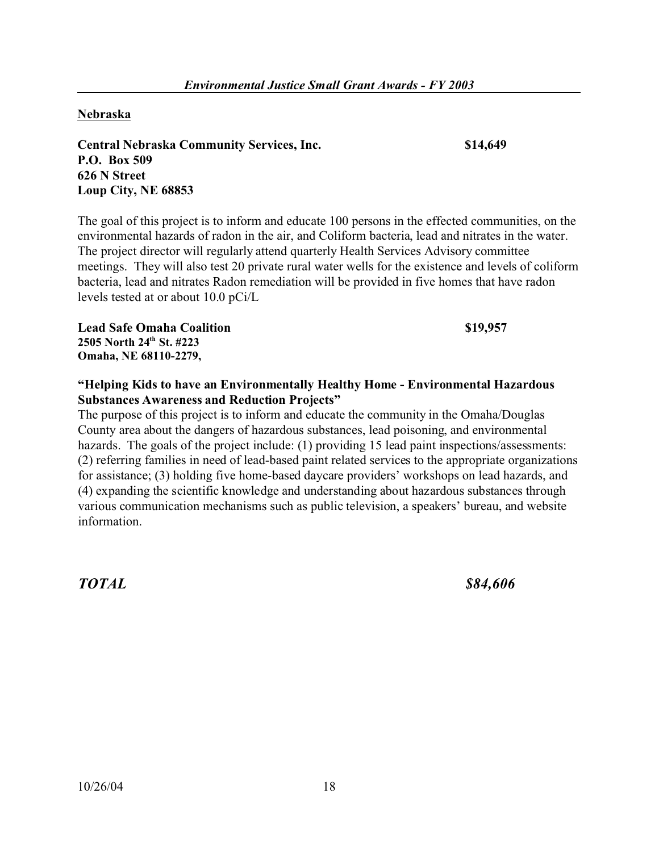## **Nebraska**

**Central Nebraska Community Services, Inc. \$14,649 P.O. Box 509 626 N Street Loup City, NE 68853** 

The goal of this project is to inform and educate 100 persons in the effected communities, on the environmental hazards of radon in the air, and Coliform bacteria, lead and nitrates in the water. The project director will regularly attend quarterly Health Services Advisory committee meetings. They will also test 20 private rural water wells for the existence and levels of coliform bacteria, lead and nitrates Radon remediation will be provided in five homes that have radon levels tested at or about 10.0 pCi/L

**Lead Safe Omaha Coalition \$19,957**  \$19,957 **2505 North 24th St. #223 Omaha, NE 68110-2279,** 

# **"Helping Kids to have an Environmentally Healthy Home - Environmental Hazardous Substances Awareness and Reduction Projects"**

The purpose of this project is to inform and educate the community in the Omaha/Douglas County area about the dangers of hazardous substances, lead poisoning, and environmental hazards. The goals of the project include: (1) providing 15 lead paint inspections/assessments: (2) referring families in need of lead-based paint related services to the appropriate organizations for assistance; (3) holding five home-based daycare providers' workshops on lead hazards, and (4) expanding the scientific knowledge and understanding about hazardous substances through various communication mechanisms such as public television, a speakers' bureau, and website information.

*TOTAL \$84,606*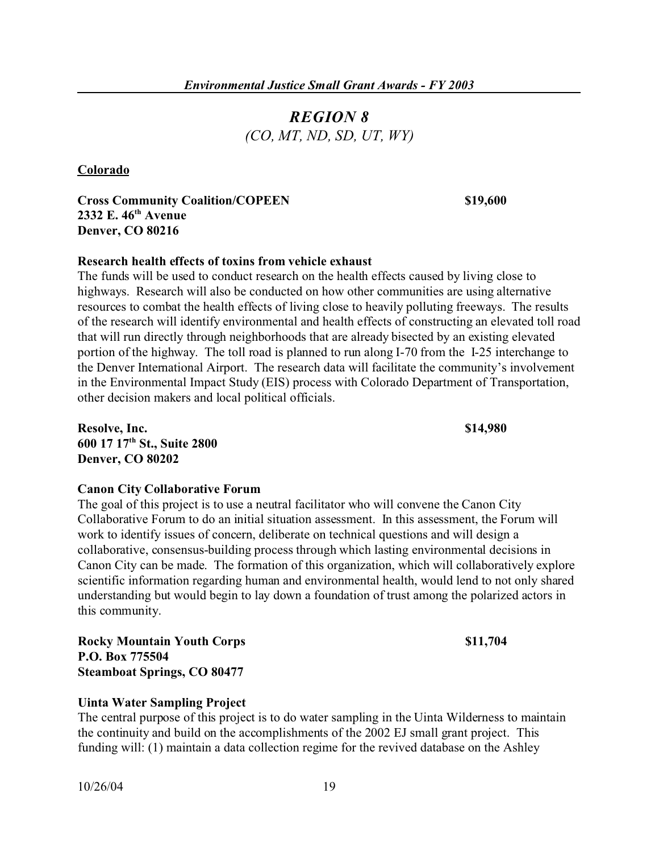# *REGION 8 (CO, MT, ND, SD, UT, WY)*

**Colorado** 

**Cross Community Coalition/COPEEN \$19,600 2332 E. 46th Avenue Denver, CO 80216** 

### **Research health effects of toxins from vehicle exhaust**

The funds will be used to conduct research on the health effects caused by living close to highways. Research will also be conducted on how other communities are using alternative resources to combat the health effects of living close to heavily polluting freeways. The results of the research will identify environmental and health effects of constructing an elevated toll road that will run directly through neighborhoods that are already bisected by an existing elevated portion of the highway. The toll road is planned to run along I-70 from the I-25 interchange to the Denver International Airport. The research data will facilitate the community's involvement in the Environmental Impact Study (EIS) process with Colorado Department of Transportation, other decision makers and local political officials.

**Resolve, Inc.**  $\qquad$  **814,980 600 17 17th St., Suite 2800 Denver, CO 80202** 

#### **Canon City Collaborative Forum**

The goal of this project is to use a neutral facilitator who will convene the Canon City Collaborative Forum to do an initial situation assessment. In this assessment, the Forum will work to identify issues of concern, deliberate on technical questions and will design a collaborative, consensus-building process through which lasting environmental decisions in Canon City can be made. The formation of this organization, which will collaboratively explore scientific information regarding human and environmental health, would lend to not only shared understanding but would begin to lay down a foundation of trust among the polarized actors in this community.

**Rocky Mountain Youth Corps**   $\qquad 811,704$ **P.O. Box 775504 Steamboat Springs, CO 80477** 

### **Uinta Water Sampling Project**

The central purpose of this project is to do water sampling in the Uinta Wilderness to maintain the continuity and build on the accomplishments of the 2002 EJ small grant project. This funding will: (1) maintain a data collection regime for the revived database on the Ashley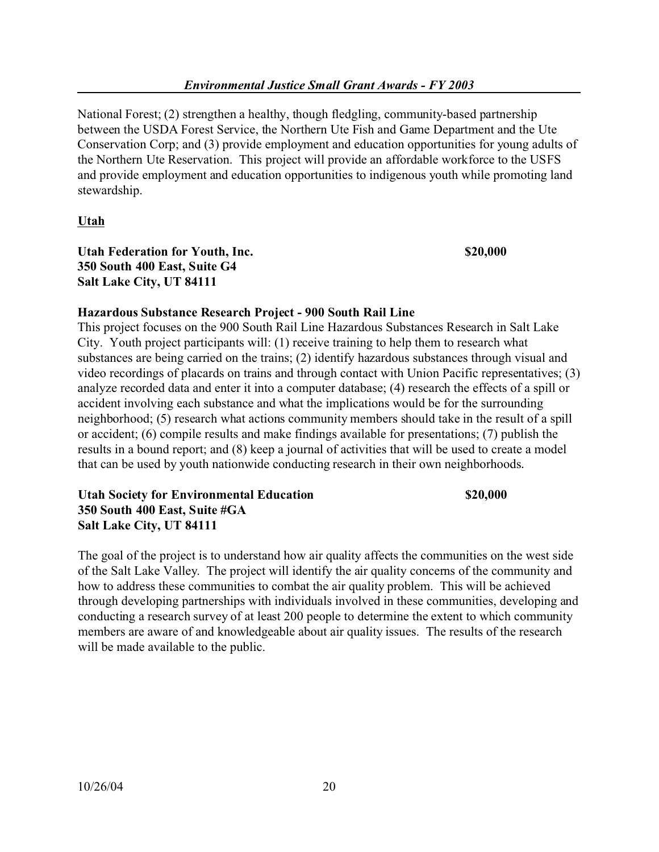National Forest; (2) strengthen a healthy, though fledgling, community-based partnership between the USDA Forest Service, the Northern Ute Fish and Game Department and the Ute Conservation Corp; and (3) provide employment and education opportunities for young adults of the Northern Ute Reservation. This project will provide an affordable workforce to the USFS and provide employment and education opportunities to indigenous youth while promoting land stewardship.

# **Utah**

**Utah Federation for Youth, Inc. \$20,000 350 South 400 East, Suite G4 Salt Lake City, UT 84111** 

# **Hazardous Substance Research Project - 900 South Rail Line**

This project focuses on the 900 South Rail Line Hazardous Substances Research in Salt Lake City. Youth project participants will: (1) receive training to help them to research what substances are being carried on the trains; (2) identify hazardous substances through visual and video recordings of placards on trains and through contact with Union Pacific representatives; (3) analyze recorded data and enter it into a computer database; (4) research the effects of a spill or accident involving each substance and what the implications would be for the surrounding neighborhood; (5) research what actions community members should take in the result of a spill or accident; (6) compile results and make findings available for presentations; (7) publish the results in a bound report; and (8) keep a journal of activities that will be used to create a model that can be used by youth nationwide conducting research in their own neighborhoods.

### **Utah Society for Environmental Education \$20,000 350 South 400 East, Suite #GA Salt Lake City, UT 84111**

The goal of the project is to understand how air quality affects the communities on the west side of the Salt Lake Valley. The project will identify the air quality concerns of the community and how to address these communities to combat the air quality problem. This will be achieved through developing partnerships with individuals involved in these communities, developing and conducting a research survey of at least 200 people to determine the extent to which community members are aware of and knowledgeable about air quality issues. The results of the research will be made available to the public.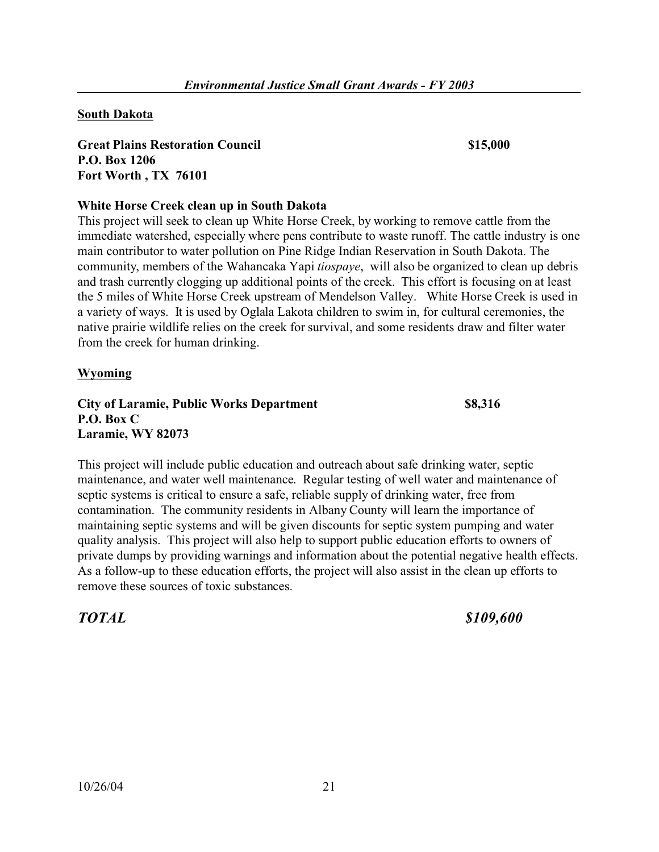#### **South Dakota**

**Great Plains Restoration Council \$15,000 P.O. Box 1206 Fort Worth , TX 76101** 

#### **White Horse Creek clean up in South Dakota**

This project will seek to clean up White Horse Creek, by working to remove cattle from the immediate watershed, especially where pens contribute to waste runoff. The cattle industry is one main contributor to water pollution on Pine Ridge Indian Reservation in South Dakota. The community, members of the Wahancaka Yapi *tiospaye*, will also be organized to clean up debris and trash currently clogging up additional points of the creek. This effort is focusing on at least the 5 miles of White Horse Creek upstream of Mendelson Valley. White Horse Creek is used in a variety of ways. It is used by Oglala Lakota children to swim in, for cultural ceremonies, the native prairie wildlife relies on the creek for survival, and some residents draw and filter water from the creek for human drinking.

#### **Wyoming**

**City of Laramie, Public Works Department \$8,316 P.O. Box C Laramie, WY 82073** 

This project will include public education and outreach about safe drinking water, septic maintenance, and water well maintenance. Regular testing of well water and maintenance of septic systems is critical to ensure a safe, reliable supply of drinking water, free from contamination. The community residents in Albany County will learn the importance of maintaining septic systems and will be given discounts for septic system pumping and water quality analysis. This project will also help to support public education efforts to owners of private dumps by providing warnings and information about the potential negative health effects. As a follow-up to these education efforts, the project will also assist in the clean up efforts to remove these sources of toxic substances.

*TOTAL \$109,600*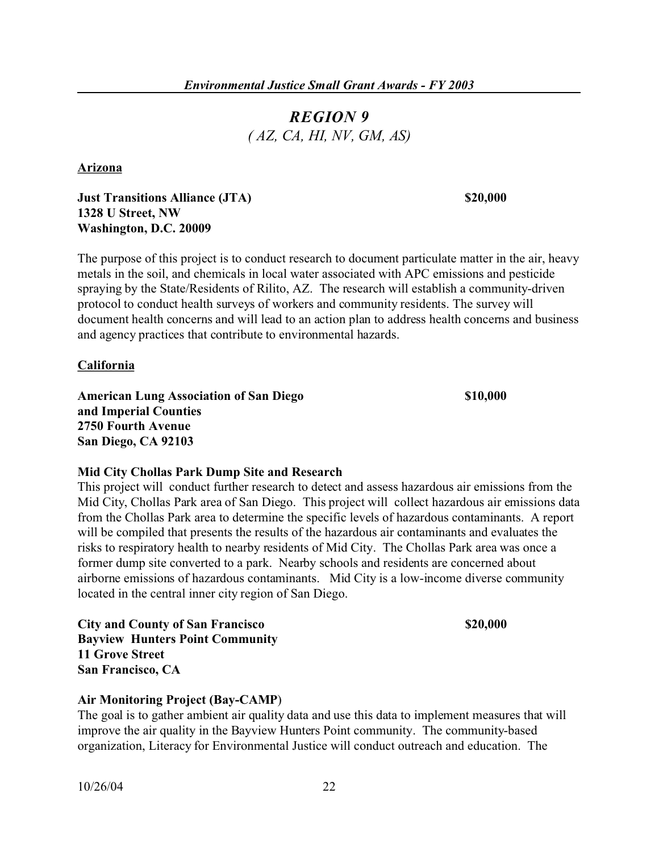# *REGION 9 ( AZ, CA, HI, NV, GM, AS)*

**Arizona** 

# **Just Transitions Alliance (JTA) \$20,000 1328 U Street, NW Washington, D.C. 20009**

The purpose of this project is to conduct research to document particulate matter in the air, heavy metals in the soil, and chemicals in local water associated with APC emissions and pesticide spraying by the State/Residents of Rilito, AZ. The research will establish a community-driven protocol to conduct health surveys of workers and community residents. The survey will document health concerns and will lead to an action plan to address health concerns and business and agency practices that contribute to environmental hazards.

**California** 

American Lung Association of San Diego **\$10,000 and Imperial Counties 2750 Fourth Avenue San Diego, CA 92103** 

### **Mid City Chollas Park Dump Site and Research**

This project will conduct further research to detect and assess hazardous air emissions from the Mid City, Chollas Park area of San Diego. This project will collect hazardous air emissions data from the Chollas Park area to determine the specific levels of hazardous contaminants. A report will be compiled that presents the results of the hazardous air contaminants and evaluates the risks to respiratory health to nearby residents of Mid City. The Chollas Park area was once a former dump site converted to a park. Nearby schools and residents are concerned about airborne emissions of hazardous contaminants. Mid City is a low-income diverse community located in the central inner city region of San Diego.

**City and County of San Francisco \$20,000 Bayview Hunters Point Community 11 Grove Street San Francisco, CA** 

#### **Air Monitoring Project (Bay-CAMP**)

The goal is to gather ambient air quality data and use this data to implement measures that will improve the air quality in the Bayview Hunters Point community. The community-based organization, Literacy for Environmental Justice will conduct outreach and education. The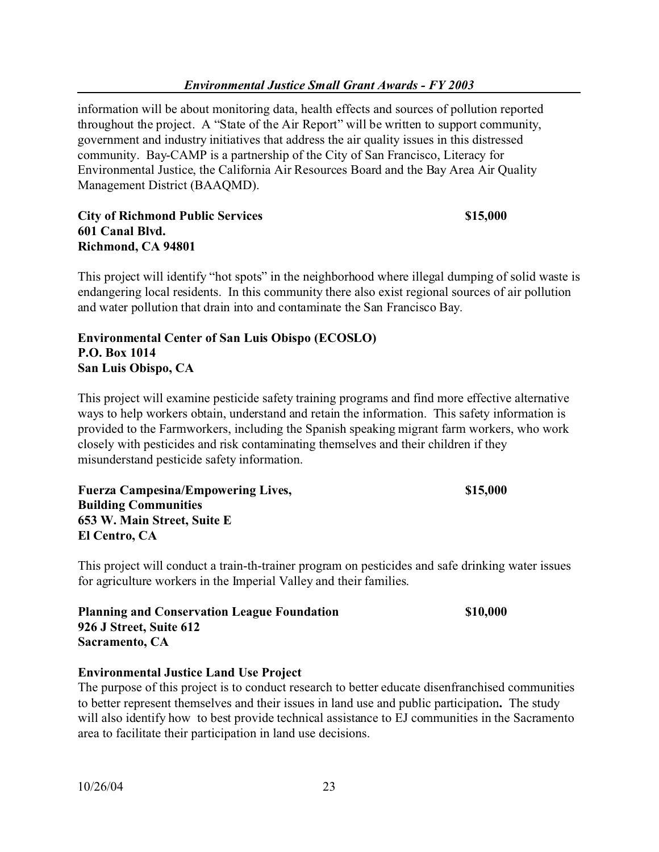information will be about monitoring data, health effects and sources of pollution reported throughout the project. A "State of the Air Report" will be written to support community, government and industry initiatives that address the air quality issues in this distressed community. Bay-CAMP is a partnership of the City of San Francisco, Literacy for Environmental Justice, the California Air Resources Board and the Bay Area Air Quality Management District (BAAQMD).

# **City of Richmond Public Services 601 Canal Blvd. Richmond, CA 94801**

This project will identify "hot spots" in the neighborhood where illegal dumping of solid waste is endangering local residents. In this community there also exist regional sources of air pollution and water pollution that drain into and contaminate the San Francisco Bay.

# **Environmental Center of San Luis Obispo (ECOSLO) P.O. Box 1014 San Luis Obispo, CA**

This project will examine pesticide safety training programs and find more effective alternative ways to help workers obtain, understand and retain the information. This safety information is provided to the Farmworkers, including the Spanish speaking migrant farm workers, who work closely with pesticides and risk contaminating themselves and their children if they misunderstand pesticide safety information.

**Fuerza Campesina/Empowering Lives, \$15,000 Building Communities 653 W. Main Street, Suite E El Centro, CA** 

This project will conduct a train-th-trainer program on pesticides and safe drinking water issues for agriculture workers in the Imperial Valley and their families.

**Planning and Conservation League Foundation \$10,000 926 J Street, Suite 612 Sacramento, CA** 

\$15,000

### **Environmental Justice Land Use Project**

The purpose of this project is to conduct research to better educate disenfranchised communities to better represent themselves and their issues in land use and public participation**.** The study will also identify how to best provide technical assistance to EJ communities in the Sacramento area to facilitate their participation in land use decisions.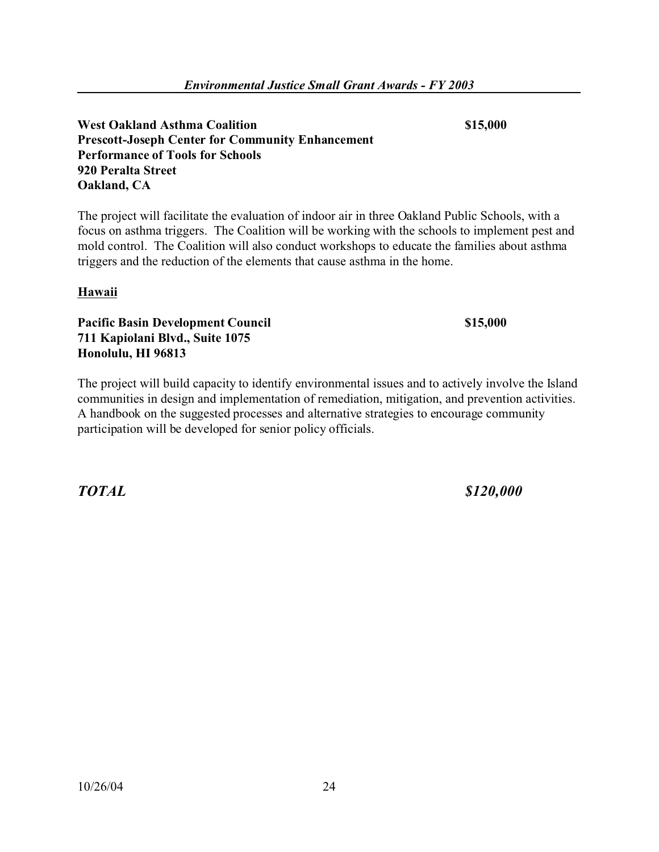**West Oakland Asthma Coalition \$15,000 Prescott-Joseph Center for Community Enhancement Performance of Tools for Schools 920 Peralta Street Oakland, CA** 

The project will facilitate the evaluation of indoor air in three Oakland Public Schools, with a focus on asthma triggers. The Coalition will be working with the schools to implement pest and mold control. The Coalition will also conduct workshops to educate the families about asthma triggers and the reduction of the elements that cause asthma in the home.

# **Hawaii**

**Pacific Basin Development Council \$15,000 \$15,000 711 Kapiolani Blvd., Suite 1075 Honolulu, HI 96813** 

The project will build capacity to identify environmental issues and to actively involve the Island communities in design and implementation of remediation, mitigation, and prevention activities. A handbook on the suggested processes and alternative strategies to encourage community participation will be developed for senior policy officials.

*TOTAL \$120,000*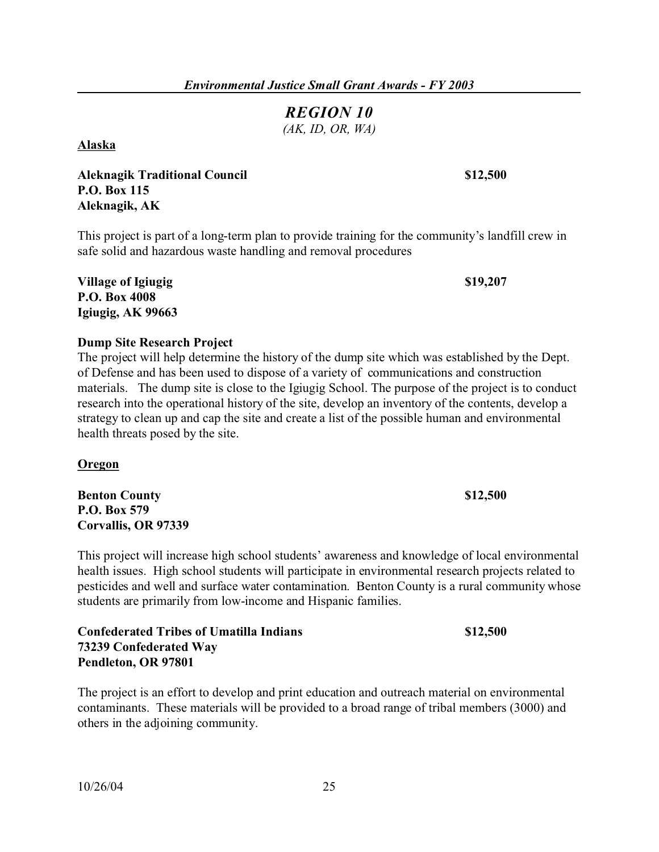# *REGION 10*

*(AK, ID, OR, WA)* 

**Alaska** 

**Aleknagik Traditional Council \$12,500 P.O. Box 115 Aleknagik, AK** 

This project is part of a long-term plan to provide training for the community's landfill crew in safe solid and hazardous waste handling and removal procedures

**Village of Igiugig 2008 319,207 P.O. Box 4008 Igiugig, AK 99663** 

**Dump Site Research Project** 

The project will help determine the history of the dump site which was established by the Dept. of Defense and has been used to dispose of a variety of communications and construction materials. The dump site is close to the Igiugig School. The purpose of the project is to conduct research into the operational history of the site, develop an inventory of the contents, develop a strategy to clean up and cap the site and create a list of the possible human and environmental health threats posed by the site.

**Oregon** 

**Benton County \$12,500 P.O. Box 579 Corvallis, OR 97339** 

This project will increase high school students' awareness and knowledge of local environmental health issues. High school students will participate in environmental research projects related to pesticides and well and surface water contamination. Benton County is a rural community whose students are primarily from low-income and Hispanic families.

**Confederated Tribes of Umatilla Indians \$12,500 73239 Confederated Way Pendleton, OR 97801** 

The project is an effort to develop and print education and outreach material on environmental contaminants. These materials will be provided to a broad range of tribal members (3000) and others in the adjoining community.